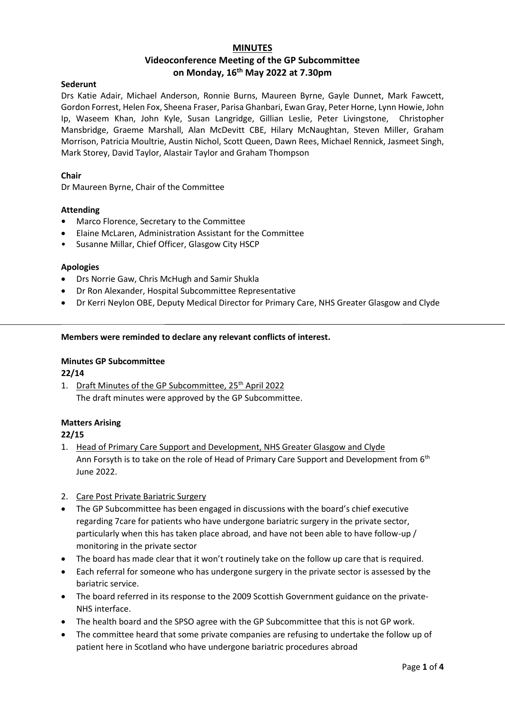#### **Sederunt**

Drs Katie Adair, Michael Anderson, Ronnie Burns, Maureen Byrne, Gayle Dunnet, Mark Fawcett, Gordon Forrest, Helen Fox, Sheena Fraser, Parisa Ghanbari, Ewan Gray, Peter Horne, Lynn Howie, John Ip, Waseem Khan, John Kyle, Susan Langridge, Gillian Leslie, Peter Livingstone, Christopher Mansbridge, Graeme Marshall, Alan McDevitt CBE, Hilary McNaughtan, Steven Miller, Graham Morrison, Patricia Moultrie, Austin Nichol, Scott Queen, Dawn Rees, Michael Rennick, Jasmeet Singh, Mark Storey, David Taylor, Alastair Taylor and Graham Thompson

#### **Chair**

Dr Maureen Byrne, Chair of the Committee

#### **Attending**

- **•** Marco Florence, Secretary to the Committee
- Elaine McLaren, Administration Assistant for the Committee
- Susanne Millar, Chief Officer, Glasgow City HSCP

#### **Apologies**

- Drs Norrie Gaw, Chris McHugh and Samir Shukla
- Dr Ron Alexander, Hospital Subcommittee Representative
- Dr Kerri Neylon OBE, Deputy Medical Director for Primary Care, NHS Greater Glasgow and Clyde

#### **Members were reminded to declare any relevant conflicts of interest.**

#### **Minutes GP Subcommittee**

#### **22/14**

1. Draft Minutes of the GP Subcommittee, 25<sup>th</sup> April 2022 The draft minutes were approved by the GP Subcommittee.

#### **Matters Arising**

### **22/15**

- 1. Head of Primary Care Support and Development, NHS Greater Glasgow and Clyde Ann Forsyth is to take on the role of Head of Primary Care Support and Development from 6<sup>th</sup> June 2022.
- 2. Care Post Private Bariatric Surgery
- The GP Subcommittee has been engaged in discussions with the board's chief executive regarding 7care for patients who have undergone bariatric surgery in the private sector, particularly when this has taken place abroad, and have not been able to have follow-up / monitoring in the private sector
- The board has made clear that it won't routinely take on the follow up care that is required.
- Each referral for someone who has undergone surgery in the private sector is assessed by the bariatric service.
- The board referred in its response to the 2009 Scottish Government guidance on the private-NHS interface.
- The health board and the SPSO agree with the GP Subcommittee that this is not GP work.
- The committee heard that some private companies are refusing to undertake the follow up of patient here in Scotland who have undergone bariatric procedures abroad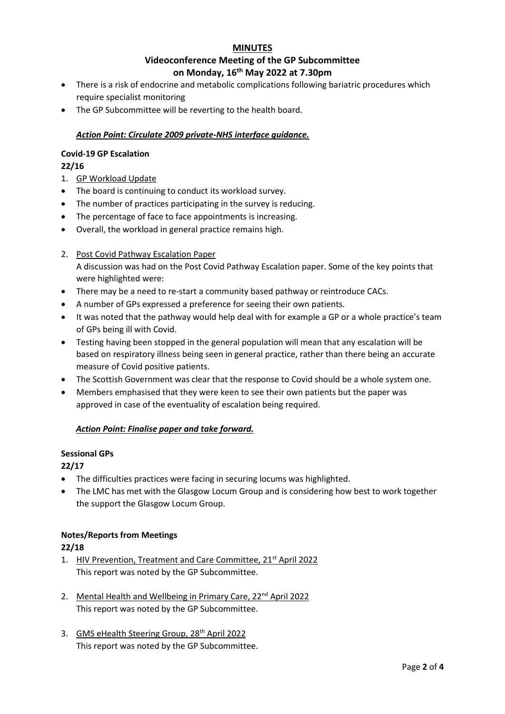- There is a risk of endocrine and metabolic complications following bariatric procedures which require specialist monitoring
- The GP Subcommittee will be reverting to the health board.

## *Action Point: Circulate 2009 private-NHS interface guidance.*

## **Covid-19 GP Escalation**

# **22/16**

- 1. GP Workload Update
- The board is continuing to conduct its workload survey.
- The number of practices participating in the survey is reducing.
- The percentage of face to face appointments is increasing.
- Overall, the workload in general practice remains high.

### 2. Post Covid Pathway Escalation Paper

A discussion was had on the Post Covid Pathway Escalation paper. Some of the key points that were highlighted were:

- There may be a need to re-start a community based pathway or reintroduce CACs.
- A number of GPs expressed a preference for seeing their own patients.
- It was noted that the pathway would help deal with for example a GP or a whole practice's team of GPs being ill with Covid.
- Testing having been stopped in the general population will mean that any escalation will be based on respiratory illness being seen in general practice, rather than there being an accurate measure of Covid positive patients.
- The Scottish Government was clear that the response to Covid should be a whole system one.
- Members emphasised that they were keen to see their own patients but the paper was approved in case of the eventuality of escalation being required.

### *Action Point: Finalise paper and take forward.*

### **Sessional GPs**

### **22/17**

- The difficulties practices were facing in securing locums was highlighted.
- The LMC has met with the Glasgow Locum Group and is considering how best to work together the support the Glasgow Locum Group.

### **Notes/Reports from Meetings**

### **22/18**

- 1. HIV Prevention, Treatment and Care Committee, 21<sup>st</sup> April 2022 This report was noted by the GP Subcommittee.
- 2. Mental Health and Wellbeing in Primary Care, 22<sup>nd</sup> April 2022 This report was noted by the GP Subcommittee.
- 3. GMS eHealth Steering Group, 28<sup>th</sup> April 2022 This report was noted by the GP Subcommittee.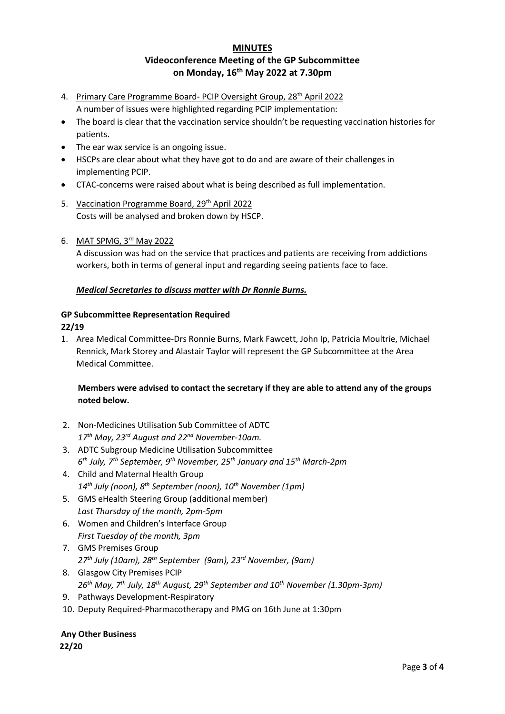- 4. Primary Care Programme Board- PCIP Oversight Group, 28<sup>th</sup> April 2022 A number of issues were highlighted regarding PCIP implementation:
- The board is clear that the vaccination service shouldn't be requesting vaccination histories for patients.
- The ear wax service is an ongoing issue.
- HSCPs are clear about what they have got to do and are aware of their challenges in implementing PCIP.
- CTAC-concerns were raised about what is being described as full implementation.
- 5. Vaccination Programme Board, 29<sup>th</sup> April 2022 Costs will be analysed and broken down by HSCP.
- 6. MAT SPMG, 3rd May 2022

A discussion was had on the service that practices and patients are receiving from addictions workers, both in terms of general input and regarding seeing patients face to face.

# *Medical Secretaries to discuss matter with Dr Ronnie Burns.*

# **GP Subcommittee Representation Required**

# **22/19**

1. Area Medical Committee-Drs Ronnie Burns, Mark Fawcett, John Ip, Patricia Moultrie, Michael Rennick, Mark Storey and Alastair Taylor will represent the GP Subcommittee at the Area Medical Committee.

# **Members were advised to contact the secretary if they are able to attend any of the groups noted below.**

- 2. Non-Medicines Utilisation Sub Committee of ADTC *17th May, 23rd August and 22nd November-10am.*
- 3. ADTC Subgroup Medicine Utilisation Subcommittee *6 th July, 7th September, 9th November, 25th January and 15th March-2pm*
- 4. Child and Maternal Health Group *14th July (noon), 8th September (noon), 10th November (1pm)*
- 5. GMS eHealth Steering Group (additional member) *Last Thursday of the month, 2pm-5pm*
- 6. Women and Children's Interface Group *First Tuesday of the month, 3pm*
- 7. GMS Premises Group *27th July (10am), 28th September (9am), 23rd November, (9am)*
- 8. Glasgow City Premises PCIP *26th May, 7th July, 18th August, 29th September and 10th November (1.30pm-3pm)*
- 9. Pathways Development-Respiratory
- 10. Deputy Required-Pharmacotherapy and PMG on 16th June at 1:30pm

# **Any Other Business**

**22/20**